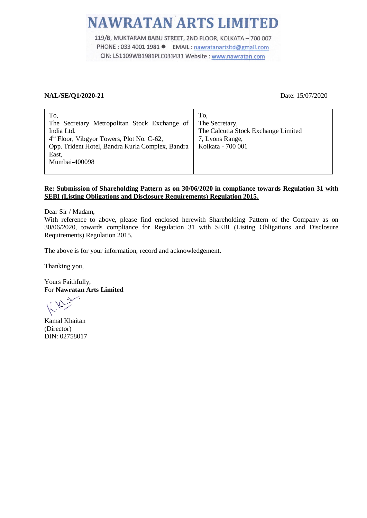# **NAWRATAN ARTS LIMITED**

119/B, MUKTARAM BABU STREET, 2ND FLOOR, KOLKATA - 700 007 PHONE : 033 4001 1981 ● EMAIL : nawratanartsltd@gmail.com CIN: L51109WB1981PLC033431 Website: www.nawratan.com

## **NAL/SE/Q1/2020-21** Date: 15/07/2020

| To,<br>The Secretary Metropolitan Stock Exchange of<br>India Ltd.<br>4 <sup>th</sup> Floor, Vibgyor Towers, Plot No. C-62,<br>Opp. Trident Hotel, Bandra Kurla Complex, Bandra<br>East,<br>Mumbai-400098 | To.<br>The Secretary,<br>The Calcutta Stock Exchange Limited<br>7, Lyons Range,<br>Kolkata - 700 001 |
|----------------------------------------------------------------------------------------------------------------------------------------------------------------------------------------------------------|------------------------------------------------------------------------------------------------------|
|----------------------------------------------------------------------------------------------------------------------------------------------------------------------------------------------------------|------------------------------------------------------------------------------------------------------|

# **Re: Submission of Shareholding Pattern as on 30/06/2020 in compliance towards Regulation 31 with SEBI (Listing Obligations and Disclosure Requirements) Regulation 2015.**

Dear Sir / Madam,

With reference to above, please find enclosed herewith Shareholding Pattern of the Company as on 30/06/2020, towards compliance for Regulation 31 with SEBI (Listing Obligations and Disclosure Requirements) Regulation 2015.

The above is for your information, record and acknowledgement.

Thanking you,

Yours Faithfully, For **Nawratan Arts Limited**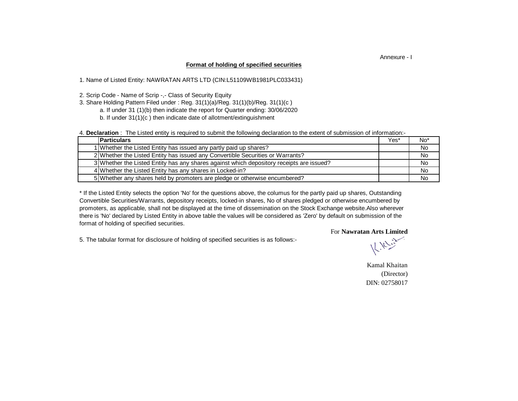### Annexure - I

### **Format of holding of specified securities**

1. Name of Listed Entity: NAWRATAN ARTS LTD (CIN:L51109WB1981PLC033431)

2. Scrip Code - Name of Scrip -,- Class of Security Equity

3. Share Holding Pattern Filed under : Reg. 31(1)(a)/Reg. 31(1)(b)/Reg. 31(1)(c )

a. If under 31 (1)(b) then indicate the report for Quarter ending: 30/06/2020

b. If under 31(1)(c ) then indicate date of allotment/extinguishment

4. **Declaration** : The Listed entity is required to submit the following declaration to the extent of submission of information:-

| <b>Particulars</b>                                                                       | Yes* | No <sup>*</sup> |
|------------------------------------------------------------------------------------------|------|-----------------|
| 1 Whether the Listed Entity has issued any partly paid up shares?                        |      | No              |
| 2 Whether the Listed Entity has issued any Convertible Securities or Warrants?           |      | No              |
| 3 Whether the Listed Entity has any shares against which depository receipts are issued? |      | No.             |
| 4 Whether the Listed Entity has any shares in Locked-in?                                 |      | No.             |
| 5 Whether any shares held by promoters are pledge or otherwise encumbered?               |      | No.             |

there is 'No' declared by Listed Entity in above table the values will be considered as 'Zero' by default on submission of the format of holding of specified securities. \* If the Listed Entity selects the option 'No' for the questions above, the columus for the partly paid up shares, Outstanding Convertible Securities/Warrants, depository receipts, locked-in shares, No of shares pledged or otherwise encumbered by promoters, as applicable, shall not be displayed at the time of dissemination on the Stock Exchange website.Also wherever

5. The tabular format for disclosure of holding of specified securities is as follows:-

For **Nawratan Arts Limited** 

Kamal Khaitan (Director) DIN: 02758017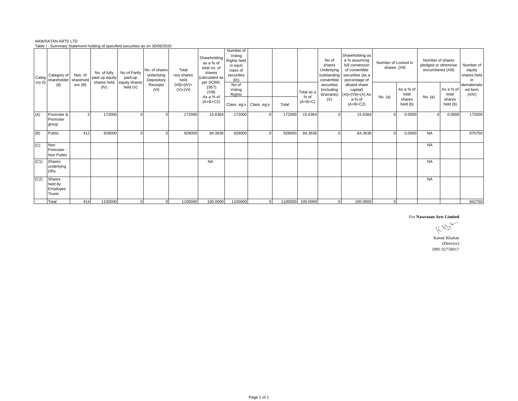|                  |                                                |           | <u>rable r - Jummary Jiatement nolung or specified securities as on Jorou/Zozo</u> |                                                      |                                           |                                |                                                                                    |                                                                                 |            |         |                                 |                                                             |                                                                                                           |                                     |                              |                                                               |                              |                                          |
|------------------|------------------------------------------------|-----------|------------------------------------------------------------------------------------|------------------------------------------------------|-------------------------------------------|--------------------------------|------------------------------------------------------------------------------------|---------------------------------------------------------------------------------|------------|---------|---------------------------------|-------------------------------------------------------------|-----------------------------------------------------------------------------------------------------------|-------------------------------------|------------------------------|---------------------------------------------------------------|------------------------------|------------------------------------------|
| Categ<br>ory (I) | Category of<br>shareholder sharehold           | Nos. of   | No. of fully<br>paid up equity                                                     | No.of Partly<br>paid-up<br>shares held equity shares | No. of shares<br>underlying<br>Depository | Total<br>nos.shares<br>held    | Shareholding<br>as a % of<br>total no. of<br>shares<br>(calculated as<br>per SCRR, | Number of<br>Voting<br>Rights held<br>in each<br>class of<br>securities<br>(IX) |            |         |                                 | No of<br>shares<br>Underlying<br>outstanding<br>convertible | Shareholding as<br>a % assuming<br>full conversion<br>of convertible<br>securities (as a<br>percentage of | Number of Locked in<br>shares (XII) |                              | Number of shares<br>pledged or otherwise<br>encumbered (XIII) |                              | Number of<br>equity<br>shares held<br>in |
|                  | (II)                                           | ers (III) | (IV)                                                                               | held (V)                                             | Receipts<br>(VI)                          | $(VII) = (IV) +$<br>$(V)+(VI)$ | 1957)<br>(VIII)<br>As a % of<br>$(A+B+C2)$                                         | No of<br>Voting<br>Rights                                                       |            |         | Total as a<br>% of<br>$(A+B+C)$ | securities<br>(including<br>(X)                             | diluted share<br>capital)<br>Warrants) $(XI) = (VII)+(X) As$<br>a % of                                    | No. (a)                             | As a % of<br>total<br>shares | No. (a)                                                       | As a % of<br>total<br>shares | dematerializ<br>ed form<br>(XIV)         |
|                  |                                                |           |                                                                                    |                                                      |                                           |                                |                                                                                    | Class eg:x                                                                      | Class eg:y | Total   |                                 |                                                             | $(A+B+C2)$                                                                                                |                                     | held (b)                     |                                                               | held (b)                     |                                          |
| (A)              | Promoter &<br>Promoter<br>group                |           | 172000                                                                             |                                                      |                                           | 172000                         | 15.6364                                                                            | 172000                                                                          |            | 172000  | 15.6364                         |                                                             | 15.6364                                                                                                   |                                     | 0.0000                       | $\Omega$                                                      | 0.0000                       | 172000                                   |
| (B)              | Public                                         | 412       | 928000                                                                             |                                                      |                                           | 928000                         | 84.3636                                                                            | 928000                                                                          |            | 928000  | 84.3636                         |                                                             | 84.3636                                                                                                   |                                     | 0.0000                       | <b>NA</b>                                                     |                              | 670750                                   |
| (C)              | Non<br>Promoter -<br>Non Public                |           |                                                                                    |                                                      |                                           |                                |                                                                                    |                                                                                 |            |         |                                 |                                                             |                                                                                                           |                                     |                              | <b>NA</b>                                                     |                              |                                          |
| (C1)             | Shares<br>underlying<br><b>DRs</b>             |           |                                                                                    |                                                      |                                           |                                | <b>NA</b>                                                                          |                                                                                 |            |         |                                 |                                                             |                                                                                                           |                                     |                              | <b>NA</b>                                                     |                              |                                          |
| (C2)             | Shares<br>held by<br>Employee<br><b>Trusts</b> |           |                                                                                    |                                                      |                                           |                                |                                                                                    |                                                                                 |            |         |                                 |                                                             |                                                                                                           |                                     |                              | <b>NA</b>                                                     |                              |                                          |
|                  | Total                                          | 414       | 1100000                                                                            |                                                      | $\Omega$                                  | 1100000                        | 100,0000                                                                           | 1100000                                                                         | $\Omega$   | 1100000 | 100.0000                        | $\Omega$                                                    | 100.0000                                                                                                  | $\overline{0}$                      |                              |                                                               |                              | 842750                                   |

#### NAWRATAN ARTS LTD Table I - Summary Statement holding of specified securities as on 30/06/2020

#### For **Nawratan Arts Limited**

Ý. 下方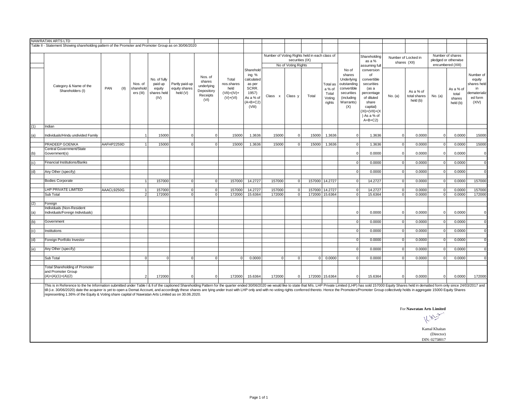| Table II - Statement Showing shareholding pattern of the Promoter and Promoter Group as on 30/06/2020<br>Number of Voting Rights held in each class of<br>Shareholding<br>securities (IX)<br>as a %<br>No of Voting Rights<br>assuming full                                                                                                                                                                                                                                                                                                                                                                                                                                                                                                                                                                        | Number of Locked in<br>shares (XII)                                                                                                                         |                             | Number of shares<br>pledged or otherwise |                |  |  |  |  |
|--------------------------------------------------------------------------------------------------------------------------------------------------------------------------------------------------------------------------------------------------------------------------------------------------------------------------------------------------------------------------------------------------------------------------------------------------------------------------------------------------------------------------------------------------------------------------------------------------------------------------------------------------------------------------------------------------------------------------------------------------------------------------------------------------------------------|-------------------------------------------------------------------------------------------------------------------------------------------------------------|-----------------------------|------------------------------------------|----------------|--|--|--|--|
|                                                                                                                                                                                                                                                                                                                                                                                                                                                                                                                                                                                                                                                                                                                                                                                                                    |                                                                                                                                                             |                             |                                          |                |  |  |  |  |
|                                                                                                                                                                                                                                                                                                                                                                                                                                                                                                                                                                                                                                                                                                                                                                                                                    |                                                                                                                                                             |                             |                                          |                |  |  |  |  |
|                                                                                                                                                                                                                                                                                                                                                                                                                                                                                                                                                                                                                                                                                                                                                                                                                    |                                                                                                                                                             |                             | encumbered (XIII)                        |                |  |  |  |  |
| Sharehold<br>No of<br>conversion<br>ing %<br>shares<br>of<br>Nos. of<br>No. of fully<br>Total<br>calculated<br>convertible<br>Underlying<br>shares<br>paid up<br>Partly paid-up<br>Nos. of<br>nos.shares<br>outstanding<br>securities<br>as per<br>Total as<br>Category & Name of the<br>underlying<br>PAN<br>(II)<br>equity shares<br>SCRR.<br>sharehold<br>equity<br>held<br>a % of<br>convertible<br>(as a<br>Shareholders (I)<br>Depository<br>held (V)<br>ers (III)<br>$(VII) = (IV) +$<br>shares held<br>1957)<br>securities<br>percentage<br>Total<br>Receipts<br>Class x<br>Class y<br>Total<br>$(V)+(VI)$<br>of diluted<br>(IV)<br>As a % of<br>(including<br>Voting<br>(VI)<br>$(A+B+C2)$<br>Warrants)<br>share<br>rights<br>(VIII)<br>(X)<br>capital)<br>$(XI) = (VII) + (X$<br>) As a % of<br>$A+B+C2$ | equity<br>shares held<br>As a % of<br>As a % of<br>dematerializ<br>total<br>No. (a)<br>total shares<br>No. (a)<br>ed form<br>shares<br>held (b)<br>held (b) |                             |                                          |                |  |  |  |  |
| Indian<br>(1)                                                                                                                                                                                                                                                                                                                                                                                                                                                                                                                                                                                                                                                                                                                                                                                                      |                                                                                                                                                             |                             |                                          |                |  |  |  |  |
| Individuals/Hindu undivided Family<br>15000<br>$\mathbf 0$<br>15000<br>1.3636<br>15000<br>15000<br>1.3636<br>1.3636<br>(a)<br>$\overline{0}$<br>$\overline{0}$<br>$\Omega$<br>$\overline{1}$                                                                                                                                                                                                                                                                                                                                                                                                                                                                                                                                                                                                                       | 0.0000<br>$\Omega$                                                                                                                                          |                             | 0.0000<br>$\Omega$                       | 15000          |  |  |  |  |
| PRADEEP GOENKA<br>AAFHP2259D<br>15000<br>1.3636<br>1.3636<br>$\overline{1}$<br>$\overline{0}$<br>$\overline{0}$<br>15000<br>15000<br>$\overline{0}$<br>15000<br>$\Omega$<br>1.3636                                                                                                                                                                                                                                                                                                                                                                                                                                                                                                                                                                                                                                 | $\overline{0}$<br>0.0000                                                                                                                                    |                             | 0.0000<br>$\Omega$                       | 15000          |  |  |  |  |
| Central Government/State<br>Government(s)<br>0.0000<br>$\Omega$<br>(b)                                                                                                                                                                                                                                                                                                                                                                                                                                                                                                                                                                                                                                                                                                                                             | 0.0000<br>$\overline{0}$                                                                                                                                    |                             | 0.0000<br>$\Omega$                       | $\Omega$       |  |  |  |  |
| <b>Financial Institutions/Banks</b><br>0.0000<br>$\mathbf 0$<br>(c)                                                                                                                                                                                                                                                                                                                                                                                                                                                                                                                                                                                                                                                                                                                                                | 0.0000<br>0                                                                                                                                                 |                             | 0.0000<br>$\mathbf 0$                    | $\overline{0}$ |  |  |  |  |
|                                                                                                                                                                                                                                                                                                                                                                                                                                                                                                                                                                                                                                                                                                                                                                                                                    |                                                                                                                                                             |                             |                                          |                |  |  |  |  |
| Any Other (specify)<br>0.0000<br>(d)<br> 0                                                                                                                                                                                                                                                                                                                                                                                                                                                                                                                                                                                                                                                                                                                                                                         | 0.0000<br>$\overline{0}$                                                                                                                                    |                             | 0.0000<br>$\Omega$                       | $\overline{0}$ |  |  |  |  |
| <b>Bodies Corporate</b><br>157000<br>$\Omega$<br>$\Omega$<br>157000<br>14.2727<br>157000<br>157000 14.2727<br>$\overline{0}$<br>14.2727<br>$\overline{1}$<br>$\overline{0}$                                                                                                                                                                                                                                                                                                                                                                                                                                                                                                                                                                                                                                        | $\overline{0}$<br>0.0000                                                                                                                                    |                             | 0.0000<br>$\Omega$                       | 157000         |  |  |  |  |
| LHP PRIVATE LIMITED<br>AAACL9250G<br>14.2727<br>157000 14.2727<br>157000<br>$\overline{0}$<br>157000<br>157000<br>$\overline{0}$<br>$\overline{0}$<br>14.2727<br>$\mathbf{1}$<br>$\Omega$<br>Sub Total<br>$\overline{0}$<br>$\overline{0}$                                                                                                                                                                                                                                                                                                                                                                                                                                                                                                                                                                         | 0.0000<br>$\overline{0}$                                                                                                                                    |                             | 0.0000<br>$\Omega$                       | 157000         |  |  |  |  |
| 172000<br>172000<br>15.6364<br>172000<br>172000 15.6364<br>15.6364<br>2<br>$\overline{0}$<br>$\mathbf 0$                                                                                                                                                                                                                                                                                                                                                                                                                                                                                                                                                                                                                                                                                                           | 0.0000<br>$\overline{0}$                                                                                                                                    |                             | 0.0000<br>$\mathbf 0$                    | 172000         |  |  |  |  |
| (2)<br>Foreign                                                                                                                                                                                                                                                                                                                                                                                                                                                                                                                                                                                                                                                                                                                                                                                                     |                                                                                                                                                             |                             |                                          |                |  |  |  |  |
| Individuals (Non-Resident<br>Individuals/Foreign Individuals)<br>0.0000<br>$\Omega$<br>(a)                                                                                                                                                                                                                                                                                                                                                                                                                                                                                                                                                                                                                                                                                                                         | 0.0000<br>$\Omega$                                                                                                                                          |                             | 0.0000<br>$\Omega$                       | $\Omega$       |  |  |  |  |
| 0.0000<br>(b)<br>Government<br>$\Omega$                                                                                                                                                                                                                                                                                                                                                                                                                                                                                                                                                                                                                                                                                                                                                                            | 0.0000<br>$\overline{0}$                                                                                                                                    |                             | 0.0000<br>$\Omega$                       | $\Omega$       |  |  |  |  |
| Institutions<br>0.0000<br>$\mathbf 0$<br>(c)                                                                                                                                                                                                                                                                                                                                                                                                                                                                                                                                                                                                                                                                                                                                                                       | 0.0000<br>$\overline{0}$                                                                                                                                    |                             | 0.0000<br>$\Omega$                       | $\overline{0}$ |  |  |  |  |
|                                                                                                                                                                                                                                                                                                                                                                                                                                                                                                                                                                                                                                                                                                                                                                                                                    |                                                                                                                                                             |                             |                                          |                |  |  |  |  |
| Foreign Portfolio Investor<br>0.0000<br>(d)<br>$\mathsf 0$                                                                                                                                                                                                                                                                                                                                                                                                                                                                                                                                                                                                                                                                                                                                                         | $\overline{0}$<br>0.0000                                                                                                                                    |                             | 0.0000<br>$\Omega$                       | $\overline{0}$ |  |  |  |  |
| Any Other (specify)<br>0.0000<br>$\mathsf 0$<br>(e)                                                                                                                                                                                                                                                                                                                                                                                                                                                                                                                                                                                                                                                                                                                                                                | 0.0000<br>$\circ$                                                                                                                                           |                             | 0.0000<br>$\Omega$                       | $\overline{0}$ |  |  |  |  |
| 0.0000<br>0.0000<br>Sub Total<br>$\overline{0}$<br>$\Omega$<br>$\Omega$<br>$\overline{0}$<br>$\overline{0}$<br>0.0000<br>$\Omega$<br>$\Omega$<br>$\circ$<br>$\Omega$                                                                                                                                                                                                                                                                                                                                                                                                                                                                                                                                                                                                                                               | 0.0000<br>$\overline{0}$                                                                                                                                    |                             | 0.0000<br>$\Omega$                       | $\Omega$       |  |  |  |  |
| <b>Total Shareholding of Promoter</b><br>and Promoter Group<br>$(A)=(A)(1)+(A)(2)$<br>$\overline{2}$<br>172000<br>$\mathbf 0$<br>$\overline{0}$<br>172000<br>15.6364<br>172000<br>172000 15.6364<br>15.6364<br>$\circ$<br>$\Omega$                                                                                                                                                                                                                                                                                                                                                                                                                                                                                                                                                                                 | 0.0000<br>$\Omega$                                                                                                                                          |                             | 0.0000<br>$\Omega$                       | 172000         |  |  |  |  |
| This is in Reference to the he Information submitted under Table I & II of the captioned Shareholding Pattern for the quarter ended 30/06/2020 we would like to state that Ms. LHP Private Limited (LHP) has sold 157000 Equit<br>till (i.e. 30/06/2020) date the acquirer is yet to open a Demat Account, and accordingly these shares are lying under trust with LHP only and with no voting rights conferred thereto. Hence the Promoters/Promoter Group coll<br>representing 1.36% of the Equity & Voting share capital of Nawratan Arts Limited as on 30.06.2020.                                                                                                                                                                                                                                             |                                                                                                                                                             |                             |                                          |                |  |  |  |  |
|                                                                                                                                                                                                                                                                                                                                                                                                                                                                                                                                                                                                                                                                                                                                                                                                                    |                                                                                                                                                             |                             |                                          |                |  |  |  |  |
|                                                                                                                                                                                                                                                                                                                                                                                                                                                                                                                                                                                                                                                                                                                                                                                                                    | For Nawratan Arts Limited                                                                                                                                   | $k_{\text{max}}$            |                                          |                |  |  |  |  |
|                                                                                                                                                                                                                                                                                                                                                                                                                                                                                                                                                                                                                                                                                                                                                                                                                    |                                                                                                                                                             | Kamal Khaitan               |                                          |                |  |  |  |  |
|                                                                                                                                                                                                                                                                                                                                                                                                                                                                                                                                                                                                                                                                                                                                                                                                                    |                                                                                                                                                             | (Director)<br>DIN: 02758017 |                                          |                |  |  |  |  |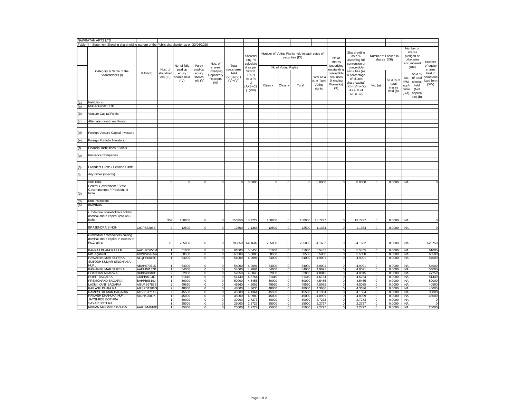|     | NAWRATAN ARTS LTD                                                                             |            |                                   |                                          |                                         |                                              |                                                      |                                                           |                |                                  |                                                                  |                                              |                                                                            |                                                                                                                 |                                     |                                          |                                        |                                                                        |                                                       |
|-----|-----------------------------------------------------------------------------------------------|------------|-----------------------------------|------------------------------------------|-----------------------------------------|----------------------------------------------|------------------------------------------------------|-----------------------------------------------------------|----------------|----------------------------------|------------------------------------------------------------------|----------------------------------------------|----------------------------------------------------------------------------|-----------------------------------------------------------------------------------------------------------------|-------------------------------------|------------------------------------------|----------------------------------------|------------------------------------------------------------------------|-------------------------------------------------------|
|     | Table III - Statement Showing shareholding pattern of the Public shareholder as on 30/06/2020 |            |                                   |                                          |                                         |                                              |                                                      |                                                           |                |                                  |                                                                  |                                              |                                                                            |                                                                                                                 |                                     |                                          |                                        |                                                                        |                                                       |
|     |                                                                                               |            |                                   | No. of fully                             | Partly                                  | Nos. of<br>shares                            | Total                                                | Sharehol<br>ding %<br>calculate<br>d as per               |                | No of Voting Rights              | Number of Voting Rights held in each class of<br>securities (IX) |                                              | No of<br>shares<br>Underlying                                              | Shareholding<br>as a %<br>assuming full<br>conversion of<br>convertible                                         | Number of Locked in<br>shares (XII) |                                          |                                        | Number of<br>shares<br>pledged or<br>otherwise<br>encumbered<br>(XIII) | Number<br>of equity                                   |
|     | Category & Name of the<br>Shareholders (I)                                                    | PAN(II)    | Nos. of<br>sharehold<br>ers (III) | paid up<br>equity<br>shares held<br>(IV) | paid-up<br>equity<br>shares<br>held (V) | underlying<br>Depository<br>Receipts<br>(VI) | nos.shares<br>held<br>$(VII) = (IV) +$<br>$(V)+(VI)$ | SCRR.<br>1957)<br>As a %<br>of<br>$(A+B+C2$<br>$)$ (VIII) | Class x        | Class y                          | Total                                                            | Total as a<br>% of Total<br>Voting<br>rights | outstanding<br>convertible<br>securities<br>(including<br>Warrants)<br>(X) | securities (as<br>a percentage<br>of diluted<br>share capital)<br>$(XI) = (VII) + (X)$<br>As a % of<br>$A+B+C2$ | No. (a)                             | As a % of<br>total<br>shares<br>held (b) | No.<br>(Not<br>appli<br>cable<br>) (a) | As a %<br>of total<br>shares<br>held<br>(Not<br>applica<br>ble) (b)    | shares<br>held in<br>demateria<br>lized form<br>(XIV) |
| (1) | Institutions                                                                                  |            |                                   |                                          |                                         |                                              |                                                      |                                                           |                |                                  |                                                                  |                                              |                                                                            |                                                                                                                 |                                     |                                          |                                        |                                                                        |                                                       |
| (a) | Mutual Funds / UTI                                                                            |            |                                   |                                          |                                         |                                              |                                                      |                                                           |                |                                  |                                                                  |                                              |                                                                            |                                                                                                                 |                                     |                                          |                                        |                                                                        |                                                       |
| (b) | Venture Capital Funds                                                                         |            |                                   |                                          |                                         |                                              |                                                      |                                                           |                |                                  |                                                                  |                                              |                                                                            |                                                                                                                 |                                     |                                          |                                        |                                                                        |                                                       |
|     |                                                                                               |            |                                   |                                          |                                         |                                              |                                                      |                                                           |                |                                  |                                                                  |                                              |                                                                            |                                                                                                                 |                                     |                                          |                                        |                                                                        |                                                       |
| (c) | Alternate Investment Funds                                                                    |            |                                   |                                          |                                         |                                              |                                                      |                                                           |                |                                  |                                                                  |                                              |                                                                            |                                                                                                                 |                                     |                                          |                                        |                                                                        |                                                       |
|     |                                                                                               |            |                                   |                                          |                                         |                                              |                                                      |                                                           |                |                                  |                                                                  |                                              |                                                                            |                                                                                                                 |                                     |                                          |                                        |                                                                        |                                                       |
| (d) | Foreign Venture Capital Investors                                                             |            |                                   |                                          |                                         |                                              |                                                      |                                                           |                |                                  |                                                                  |                                              |                                                                            |                                                                                                                 |                                     |                                          |                                        |                                                                        |                                                       |
| (e) | Foreign Portfolio Investors                                                                   |            |                                   |                                          |                                         |                                              |                                                      |                                                           |                |                                  |                                                                  |                                              |                                                                            |                                                                                                                 |                                     |                                          |                                        |                                                                        |                                                       |
|     |                                                                                               |            |                                   |                                          |                                         |                                              |                                                      |                                                           |                |                                  |                                                                  |                                              |                                                                            |                                                                                                                 |                                     |                                          |                                        |                                                                        |                                                       |
|     | Financial Institutions / Banks                                                                |            |                                   |                                          |                                         |                                              |                                                      |                                                           |                |                                  |                                                                  |                                              |                                                                            |                                                                                                                 |                                     |                                          |                                        |                                                                        |                                                       |
|     |                                                                                               |            |                                   |                                          |                                         |                                              |                                                      |                                                           |                |                                  |                                                                  |                                              |                                                                            |                                                                                                                 |                                     |                                          |                                        |                                                                        |                                                       |
| (g) | Insurance Companies                                                                           |            |                                   |                                          |                                         |                                              |                                                      |                                                           |                |                                  |                                                                  |                                              |                                                                            |                                                                                                                 |                                     |                                          |                                        |                                                                        |                                                       |
|     |                                                                                               |            |                                   |                                          |                                         |                                              |                                                      |                                                           |                |                                  |                                                                  |                                              |                                                                            |                                                                                                                 |                                     |                                          |                                        |                                                                        |                                                       |
| (h) | Provident Funds / Pension Funds                                                               |            |                                   |                                          |                                         |                                              |                                                      |                                                           |                |                                  |                                                                  |                                              |                                                                            |                                                                                                                 |                                     |                                          |                                        |                                                                        |                                                       |
|     | Any Other (specify)                                                                           |            |                                   |                                          |                                         |                                              |                                                      |                                                           |                |                                  |                                                                  |                                              |                                                                            |                                                                                                                 |                                     |                                          |                                        |                                                                        |                                                       |
|     |                                                                                               |            |                                   |                                          |                                         |                                              |                                                      |                                                           |                |                                  |                                                                  |                                              |                                                                            |                                                                                                                 |                                     |                                          |                                        |                                                                        |                                                       |
|     | Sub Total                                                                                     |            | $\Omega$                          | $\mathbf 0$                              | $\overline{0}$                          | $\Omega$                                     | $\circ$                                              | 0.0000                                                    | $\overline{0}$ | $^{\circ}$                       | $\mathbf 0$                                                      | 0.0000                                       | $^{\circ}$                                                                 | 0.0000                                                                                                          | $\mathbf 0$                         | 0.0000                                   | <b>NA</b>                              |                                                                        |                                                       |
| (2) | Central Government / State<br>Government(s) / President of<br>India                           |            |                                   |                                          |                                         |                                              |                                                      |                                                           |                |                                  |                                                                  |                                              |                                                                            |                                                                                                                 |                                     |                                          |                                        |                                                                        |                                                       |
|     |                                                                                               |            |                                   |                                          |                                         |                                              |                                                      |                                                           |                |                                  |                                                                  |                                              |                                                                            |                                                                                                                 |                                     |                                          |                                        |                                                                        |                                                       |
|     | Non-Institutions                                                                              |            |                                   |                                          |                                         |                                              |                                                      |                                                           |                |                                  |                                                                  |                                              |                                                                            |                                                                                                                 |                                     |                                          |                                        |                                                                        |                                                       |
| (a) | Individuals-                                                                                  |            |                                   |                                          |                                         |                                              |                                                      |                                                           |                |                                  |                                                                  |                                              |                                                                            |                                                                                                                 |                                     |                                          |                                        |                                                                        |                                                       |
|     | i. Individual shareholders holding<br>nominal share capital upto Rs.2                         |            |                                   |                                          |                                         |                                              |                                                      |                                                           |                |                                  |                                                                  |                                              |                                                                            |                                                                                                                 |                                     |                                          |                                        |                                                                        |                                                       |
|     | lakhs                                                                                         |            | 359                               | 150950                                   | $\circ$                                 | $^{\circ}$                                   | 150950                                               | 13.7227                                                   | 150950         | $\mathbf 0$                      | 150950                                                           | 13.7227                                      | $\mathbf 0$                                                                | 13.7227                                                                                                         | $\mathsf 0$                         | 0.0000                                   | <b>NA</b>                              |                                                                        |                                                       |
|     |                                                                                               |            |                                   |                                          |                                         |                                              |                                                      |                                                           |                |                                  |                                                                  |                                              |                                                                            |                                                                                                                 |                                     |                                          |                                        |                                                                        |                                                       |
|     | <b>BRAJENDRA SINGH</b>                                                                        | CIOPS6204E | $\mathfrak{p}$                    | 12500                                    | $\overline{0}$                          | $\overline{0}$                               | 12500                                                | 1.1364                                                    | 12500          | $\Omega$                         | 12500                                                            | 1.1364                                       | $\overline{0}$                                                             | 1.1364                                                                                                          | $\overline{0}$                      | 0.0000                                   | <b>NA</b>                              |                                                                        | $\mathbf 0$                                           |
|     | ii.Individual shareholders holding<br>nominal share capital in excess of<br>Rs.2 lakhs        |            | 15                                | 705850                                   | $\overline{0}$                          | $\mathbf 0$                                  | 705850                                               | 64.1682                                                   | 705850         | $\Omega$                         | 705850                                                           | 64.1682                                      | $^{\circ}$                                                                 | 64.1682                                                                                                         | $\mathbf 0$                         | 0.0000                                   | <b>NA</b>                              |                                                                        | 620750                                                |
|     |                                                                                               |            |                                   |                                          |                                         |                                              |                                                      |                                                           |                |                                  |                                                                  |                                              |                                                                            |                                                                                                                 |                                     |                                          |                                        |                                                                        |                                                       |
|     | PANKAJ DHANUKA HUF.                                                                           | AAOHP8856M | $\overline{1}$                    | 61000                                    | $\overline{0}$                          | $\overline{0}$                               | 61000                                                | 5.5455                                                    | 61000          | $\overline{0}$                   | 61000                                                            | 5.5455                                       | $\overline{0}$                                                             | 5.5455                                                                                                          | $\overline{0}$                      | 0.0000                                   | <b>NA</b>                              |                                                                        | 61000                                                 |
|     | Nita Agarwal                                                                                  | AVWPA5435A | $\overline{1}$                    | 60500                                    | $\overline{0}$                          | $\overline{0}$                               | 60500                                                | 5.5000                                                    | 60500          | $\overline{0}$                   | 60500                                                            | 5.5000                                       | $\overline{0}$                                                             | 5.5000                                                                                                          | $\overline{0}$                      | 0.0000                                   | <b>NA</b>                              |                                                                        | 60500                                                 |
|     | PAWAN KUMAR SUREKA<br>SUBODH KUMAR SINGHANIA                                                  | ALQPS6815C | $\overline{1}$                    | 54000                                    | $\overline{0}$                          | $\overline{0}$                               | 54000                                                | 4.9091                                                    | 54000          | $\overline{0}$                   | 54000                                                            | 4.9091                                       | $\overline{0}$                                                             | 4.9091                                                                                                          | $\overline{0}$                      | 0.0000                                   | <b>NA</b>                              |                                                                        | 54000                                                 |
|     | <b>HUF</b>                                                                                    | ABAHS7071N | $\mathbf{1}$                      | 54000                                    | $\circ$                                 | $\mathsf 0$                                  | 54000                                                | 4.9091                                                    | 54000          | $\Omega$                         | 54000                                                            | 4.9091                                       | $\bf 0$                                                                    | 4.9091                                                                                                          | $\mathbf 0$                         | 0.0000                                   | <b>NA</b>                              |                                                                        | 54000                                                 |
|     | PAWAN KUMAR SUREKA                                                                            | AAEHP6137P |                                   | 54000                                    | $\overline{0}$                          | $\overline{0}$                               | 54000                                                | 4.9091                                                    | 54000          | $\Omega$                         | 54000                                                            | 4.9091                                       | $\overline{0}$                                                             | 4.9091                                                                                                          | $\overline{0}$                      | 0.0000                                   | <b>NA</b>                              |                                                                        | 54000                                                 |
|     | <b>CHANDAN AGARWAL</b>                                                                        | BKBPA9840E | $\overline{2}$                    | 52850                                    | $\overline{0}$                          | $\overline{0}$                               | 52850                                                | 4.8045                                                    | 52850          | $\overline{0}$                   | 52850                                                            | 4.8045                                       | $\overline{0}$                                                             | 4.8045                                                                                                          | $\overline{0}$                      | 0.0000                                   | <b>NA</b>                              |                                                                        | 47250                                                 |
|     | <b>ROHIT BAGARIA</b>                                                                          | CKIPB0194G | $\overline{1}$                    | 51440                                    | $\overline{0}$                          | $\overline{0}$                               | 51440                                                | 4.6764                                                    | 51440          | ō                                | 51440                                                            | 4.6764                                       | $\overline{0}$                                                             | 4.6764                                                                                                          | $\overline{0}$                      | 0.0000                                   | <b>NA</b>                              |                                                                        | 51440                                                 |
|     | PREMCHAND BAGARIA                                                                             | BAHPB8619J | $\mathbf{1}$                      | 50000                                    | $\overline{0}$                          | $\overline{0}$                               | 50000                                                | 4.5455                                                    | 50000          | $\mathbf 0$                      | 50000                                                            | 4.5455                                       | $\circ$                                                                    | 4.5455                                                                                                          | 0                                   | 0.0000                                   | <b>NA</b>                              |                                                                        | 50000                                                 |
|     | LAXMI KANT BAGARIA                                                                            | AGUPB6783B | $\overline{2}$                    | 49560                                    | $\overline{0}$                          | $\overline{0}$                               | 49560                                                | 4.5055                                                    | 49560          | $\overline{0}$                   | 49560                                                            | 4.5055                                       | $\overline{0}$                                                             | 4.5055                                                                                                          | $\overline{0}$                      | 0.0000                                   | <b>NA</b>                              |                                                                        | 40560                                                 |
|     | <b>KAILASH DHANUKA</b>                                                                        | AGSPD1388G | $\overline{\phantom{a}}$          | 48000                                    | $\overline{0}$                          | $\overline{0}$                               | 48000                                                | 4.3636                                                    | 48000          | $\overline{0}$                   | 48000                                                            | 4.3636                                       | $\overline{0}$                                                             | 4.3636                                                                                                          | $\overline{0}$                      | 0.0000                                   | <b>NA</b>                              |                                                                        | 40000                                                 |
|     | RAMESH KUMAR BAGARIA                                                                          | AGVPB1714F | $\overline{\mathbf{z}}$           | 45500                                    | $\overline{0}$                          | $\overline{\circ}$                           | 45500                                                | 4.1364                                                    | 45500          | ō                                | 45500                                                            | 4.1364                                       | $\overline{0}$                                                             | 4.1364                                                                                                          | $\overline{0}$                      | 0.0000                                   | <b>NA</b>                              |                                                                        | 38000                                                 |
|     | KAILASH DHANUKA HUF.<br>JAYSHREE BOTHRA                                                       | AAJHK2600K | $\overline{1}$<br>$\overline{1}$  | 45000<br>30000                           | $\overline{0}$<br>$\overline{0}$        | $\overline{0}$<br>$\overline{0}$             | 45000<br>30000                                       | 4.0909<br>2.7273                                          | 45000<br>30000 | $\overline{0}$<br>$\overline{0}$ | 45000<br>30000                                                   | 4.0909<br>2.7273                             | $\overline{0}$<br>$\overline{0}$                                           | 4.0909<br>2.7273                                                                                                | $\overline{0}$<br>$\overline{0}$    | 0.0000<br>0.0000                         | <b>NA</b><br><b>NA</b>                 |                                                                        | 45000<br>$\Omega$                                     |
|     | SAYAR BOTHRA                                                                                  |            |                                   | 25000                                    | $\overline{0}$                          | $\overline{0}$                               | 25000                                                | 2.2727                                                    | 25000          | $\overline{0}$                   | 25000                                                            | 2.2727                                       | $\overline{0}$                                                             | 2.2727                                                                                                          | $\overline{0}$                      | 0.0000                                   | <b>NA</b>                              |                                                                        |                                                       |
|     | MADAN MOHAN DHANUKA.                                                                          | AAGHM4618E |                                   | 25000                                    | $\overline{0}$                          | $\overline{0}$                               | 25000                                                | 2.2727                                                    | 25000          | $\mathbf 0$                      | 25000                                                            | 2.2727                                       | $\overline{0}$                                                             | 2.2727                                                                                                          | $\mathbf 0$                         | 0.0000                                   | <b>NA</b>                              |                                                                        | 25000                                                 |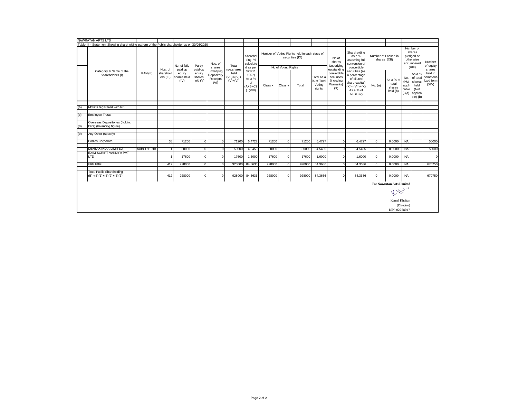|     | NAWRATAN ARTS LTD                                                                             |            |                        |                               |                              |                                              |                                        |                                                      |         |                     |                                                                  |                                              |                                                             |                                                                                                                 |                               |                                          |                                      |                                                                     |                                             |
|-----|-----------------------------------------------------------------------------------------------|------------|------------------------|-------------------------------|------------------------------|----------------------------------------------|----------------------------------------|------------------------------------------------------|---------|---------------------|------------------------------------------------------------------|----------------------------------------------|-------------------------------------------------------------|-----------------------------------------------------------------------------------------------------------------|-------------------------------|------------------------------------------|--------------------------------------|---------------------------------------------------------------------|---------------------------------------------|
|     | Table III - Statement Showing shareholding pattern of the Public shareholder as on 30/06/2020 |            |                        |                               |                              |                                              |                                        |                                                      |         |                     |                                                                  |                                              |                                                             |                                                                                                                 |                               |                                          |                                      |                                                                     |                                             |
|     |                                                                                               |            | Nos. of                | No. of fully<br>paid up       | Partly<br>paid-up            | Nos. of<br>shares                            | Total<br>nos.shares                    | Sharehol<br>ding %<br>calculate<br>d as per<br>SCRR. |         | No of Voting Rights | Number of Voting Rights held in each class of<br>securities (IX) |                                              | No of<br>shares<br>Underlying<br>outstanding                | Number of<br>shares<br>pledged or<br>otherwise<br>encumbered<br>(XIII)                                          | Number<br>of equity<br>shares |                                          |                                      |                                                                     |                                             |
|     | Category & Name of the<br>Shareholders (I)                                                    | PAN(II)    | sharehold<br>ers (III) | equity<br>shares held<br>(IV) | equity<br>shares<br>held (V) | underlying<br>Depository<br>Receipts<br>(VI) | held<br>$(VII) = (IV) +$<br>$(V)+(VI)$ | 1957)<br>As a %<br>of<br>$(A+B+C2$<br>$)$ (VIII)     | Class x | Class y             | Total                                                            | Total as a<br>% of Total<br>Voting<br>rights | convertible<br>securities<br>(including<br>Warrants)<br>(X) | securities (as<br>a percentage<br>of diluted<br>share capital)<br>$(XI) = (VII) + (X)$<br>As a % of<br>$A+B+C2$ | No. (a)                       | As a % of<br>total<br>shares<br>held (b) | No.<br>(Not<br>appli<br>cable<br>(a) | As a %<br>of total<br>shares<br>held<br>(Not<br>applica<br>ble) (b) | held in<br>demateria<br>lized form<br>(XIV) |
|     |                                                                                               |            |                        |                               |                              |                                              |                                        |                                                      |         |                     |                                                                  |                                              |                                                             |                                                                                                                 |                               |                                          |                                      |                                                                     |                                             |
| (b) | NBFCs registered with RBI                                                                     |            |                        |                               |                              |                                              |                                        |                                                      |         |                     |                                                                  |                                              |                                                             |                                                                                                                 |                               |                                          |                                      |                                                                     |                                             |
| (c) | <b>Employee Trusts</b>                                                                        |            |                        |                               |                              |                                              |                                        |                                                      |         |                     |                                                                  |                                              |                                                             |                                                                                                                 |                               |                                          |                                      |                                                                     |                                             |
|     |                                                                                               |            |                        |                               |                              |                                              |                                        |                                                      |         |                     |                                                                  |                                              |                                                             |                                                                                                                 |                               |                                          |                                      |                                                                     |                                             |
| (d) | Overseas Depositories (holding<br>DRs) (balancing figure)                                     |            |                        |                               |                              |                                              |                                        |                                                      |         |                     |                                                                  |                                              |                                                             |                                                                                                                 |                               |                                          |                                      |                                                                     |                                             |
|     |                                                                                               |            |                        |                               |                              |                                              |                                        |                                                      |         |                     |                                                                  |                                              |                                                             |                                                                                                                 |                               |                                          |                                      |                                                                     |                                             |
| (e) | Any Other (specify)                                                                           |            |                        |                               |                              |                                              |                                        |                                                      |         |                     |                                                                  |                                              |                                                             |                                                                                                                 |                               |                                          |                                      |                                                                     |                                             |
|     | <b>Bodies Corporate</b>                                                                       |            | 38                     | 71200                         | $\mathbf 0$                  | $\mathbf 0$                                  | 71200                                  | 6.4727                                               | 71200   | $\Omega$            | 71200                                                            | 6.4727                                       | $\mathbf 0$                                                 | 6.4727                                                                                                          | 0                             | 0.0000                                   | <b>NA</b>                            |                                                                     | 50000                                       |
|     |                                                                                               |            |                        |                               |                              |                                              |                                        |                                                      |         |                     |                                                                  |                                              |                                                             |                                                                                                                 |                               |                                          |                                      |                                                                     |                                             |
|     | <b>DENTAX INDIA LIMITED</b>                                                                   | AABCD1191K |                        | 50000                         | $\overline{0}$               | $\overline{0}$                               | 50000                                  | 4.5455                                               | 50000   | $\Omega$            | 50000                                                            | 4.5455                                       | $\mathbf{0}$                                                | 4.5455                                                                                                          | $\overline{0}$                | 0.0000                                   | <b>NA</b>                            |                                                                     | 50000                                       |
|     | EXIM SCRIPT VANIJYA PVT                                                                       |            |                        |                               |                              |                                              |                                        |                                                      |         |                     |                                                                  |                                              |                                                             |                                                                                                                 |                               |                                          |                                      |                                                                     |                                             |
|     | LTD                                                                                           |            |                        | 17600                         | $\mathbf 0$                  | $\mathbf 0$                                  | 17600                                  | 1.6000                                               | 17600   | $\mathbf{0}$        | 17600                                                            | 1.6000                                       | $\mathbf{0}$                                                | 1.6000                                                                                                          | 0                             | 0.0000                                   | <b>NA</b>                            |                                                                     | $\mathbf 0$                                 |
|     |                                                                                               |            |                        |                               |                              |                                              |                                        |                                                      |         |                     |                                                                  |                                              |                                                             |                                                                                                                 |                               |                                          |                                      |                                                                     |                                             |
|     | Sub Total                                                                                     |            | 412                    | 928000                        | $\overline{0}$               | $\Omega$                                     | 928000                                 | 84.3636                                              | 928000  | $\Omega$            | 928000                                                           | 84.3636                                      | $\Omega$                                                    | 84.3636                                                                                                         | $\overline{0}$                | 0.0000                                   | <b>NA</b>                            |                                                                     | 670750                                      |
|     | <b>Total Public Shareholding</b><br>$(B)=(B)(1)+(B)(2)+(B)(3)$                                |            | 412                    | 928000                        | $\Omega$                     | $\Omega$                                     | 928000                                 | 84.3636                                              | 928000  | $\Omega$            | 928000                                                           | 84.3636                                      | $^{\circ}$                                                  | 84.3636                                                                                                         | 0                             | 0.0000                                   | <b>NA</b>                            |                                                                     | 670750                                      |
|     |                                                                                               |            |                        |                               |                              |                                              |                                        |                                                      |         |                     |                                                                  |                                              |                                                             |                                                                                                                 |                               |                                          |                                      |                                                                     |                                             |
|     |                                                                                               |            |                        |                               |                              |                                              |                                        |                                                      |         |                     |                                                                  |                                              |                                                             |                                                                                                                 |                               | For Nawratan Arts Limited                |                                      |                                                                     |                                             |
|     |                                                                                               |            |                        |                               |                              |                                              |                                        |                                                      |         |                     |                                                                  |                                              |                                                             |                                                                                                                 |                               | Kiess                                    |                                      |                                                                     |                                             |
|     |                                                                                               |            |                        |                               |                              |                                              |                                        |                                                      |         |                     |                                                                  |                                              |                                                             |                                                                                                                 |                               | Kamal Khaitan                            |                                      |                                                                     |                                             |
|     |                                                                                               |            |                        |                               |                              |                                              |                                        |                                                      |         |                     |                                                                  |                                              |                                                             |                                                                                                                 |                               |                                          | (Director)                           |                                                                     |                                             |
|     |                                                                                               |            |                        |                               |                              |                                              |                                        |                                                      |         |                     |                                                                  |                                              |                                                             |                                                                                                                 |                               | DIN: 02758017                            |                                      |                                                                     |                                             |
|     |                                                                                               |            |                        |                               |                              |                                              |                                        |                                                      |         |                     |                                                                  |                                              |                                                             |                                                                                                                 |                               |                                          |                                      |                                                                     |                                             |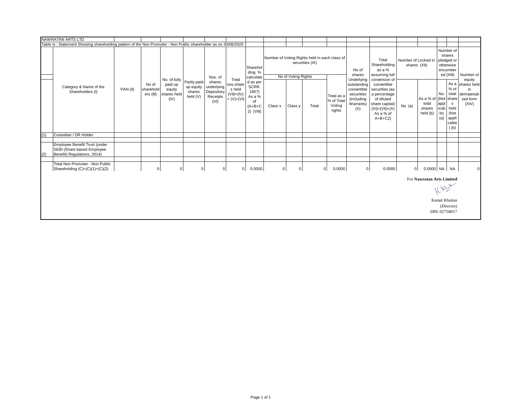|     | <b>NAWRATAN ARTS LTD</b>                                                                                        |          |                                 |                                          |                                                 |                                                        |                                                       |                                                                        |                |                     |                                                                  |                                              |                                                                            |                                                                                                                                |                                     |                                          |                                   |                                                                                |                                                            |
|-----|-----------------------------------------------------------------------------------------------------------------|----------|---------------------------------|------------------------------------------|-------------------------------------------------|--------------------------------------------------------|-------------------------------------------------------|------------------------------------------------------------------------|----------------|---------------------|------------------------------------------------------------------|----------------------------------------------|----------------------------------------------------------------------------|--------------------------------------------------------------------------------------------------------------------------------|-------------------------------------|------------------------------------------|-----------------------------------|--------------------------------------------------------------------------------|------------------------------------------------------------|
|     | Table Iv - Statement Showing shareholding pattern of the Non Promoter - Non Public shareholder as on 30/06/2020 |          |                                 |                                          |                                                 |                                                        |                                                       |                                                                        |                |                     |                                                                  |                                              |                                                                            |                                                                                                                                |                                     |                                          |                                   |                                                                                |                                                            |
|     |                                                                                                                 |          |                                 | No. of fully                             |                                                 | Nos. of                                                | Total                                                 | Sharehol<br>ding %<br>calculate                                        |                | No of Voting Rights | Number of Voting Rights held in each class of<br>securities (IX) |                                              | No of<br>shares<br>Underlying                                              | Total<br>Shareholding<br>as a %<br>assuming full<br>conversion of                                                              | Number of Locked in<br>shares (XII) |                                          |                                   | Number of<br>shares<br>pledged or<br>otherwise<br>encumber<br>ed (XIII)        | Number of<br>equity                                        |
|     | Category & Name of the<br>Shareholders (I)                                                                      | PAN (II) | No of<br>sharehold<br>ers (III) | paid up<br>equity<br>shares held<br>(IV) | Partly paid-<br>up equity<br>shares<br>held (V) | shares<br>underlying<br>Depository<br>Receipts<br>(VI) | nos.share<br>s held<br>$(VII) = (IV)$<br>$+ (V)+(VI)$ | d as per<br>SCRR.<br>1957)<br>As a %<br>of<br>$(A+B+C)$<br>$2)$ (VIII) | Class x        | Class y             | Total                                                            | Total as a<br>% of Total<br>Voting<br>rights | outstanding<br>convertible<br>securities<br>(including<br>Warrants)<br>(X) | convertible<br>securities (as<br>a percentage<br>of diluted<br>share capital)<br>$(XI) = (VII) + (X)$<br>As a % of<br>$A+B+C2$ | No. $(a)$                           | As a % of<br>total<br>shares<br>held (b) | No.<br>appl<br>$ e\rangle$<br>(a) | % of<br>total<br>(Not share<br>s<br>icab held<br>(Not<br>appli<br>cable<br>(b) | As a shares held<br>in<br>demateriali<br>zed form<br>(XIV) |
| (1) | Custodian / DR Holder                                                                                           |          |                                 |                                          |                                                 |                                                        |                                                       |                                                                        |                |                     |                                                                  |                                              |                                                                            |                                                                                                                                |                                     |                                          |                                   |                                                                                |                                                            |
|     |                                                                                                                 |          |                                 |                                          |                                                 |                                                        |                                                       |                                                                        |                |                     |                                                                  |                                              |                                                                            |                                                                                                                                |                                     |                                          |                                   |                                                                                |                                                            |
| (2) | Employee Benefit Trust (under<br>SEBI (Share based Employee<br>Benefit) Regulations, 2014)                      |          |                                 |                                          |                                                 |                                                        |                                                       |                                                                        |                |                     |                                                                  |                                              |                                                                            |                                                                                                                                |                                     |                                          |                                   |                                                                                |                                                            |
|     | Total Non Promoter - Non Public<br>Shareholding $(C)=(C)(1)+(C)(2)$                                             |          | $\mathbf 0$                     | 0                                        | $\mathbf 0$                                     | $\overline{0}$                                         | $\overline{0}$                                        | 0.0000                                                                 | $\overline{0}$ | $\pmb{0}$           | $\overline{0}$                                                   | 0.0000                                       | 0                                                                          | 0.0000                                                                                                                         | $\overline{0}$                      | 0.0000 NA NA                             |                                   |                                                                                | $\Omega$                                                   |
|     |                                                                                                                 |          |                                 |                                          |                                                 |                                                        |                                                       |                                                                        |                |                     |                                                                  |                                              |                                                                            |                                                                                                                                |                                     | For Nawratan Arts Limited                |                                   | 1.10-20                                                                        |                                                            |
|     |                                                                                                                 |          |                                 |                                          |                                                 |                                                        |                                                       |                                                                        |                |                     |                                                                  |                                              |                                                                            |                                                                                                                                |                                     |                                          |                                   | Kamal Khaitan<br>(Director)<br>DIN: 02758017                                   |                                                            |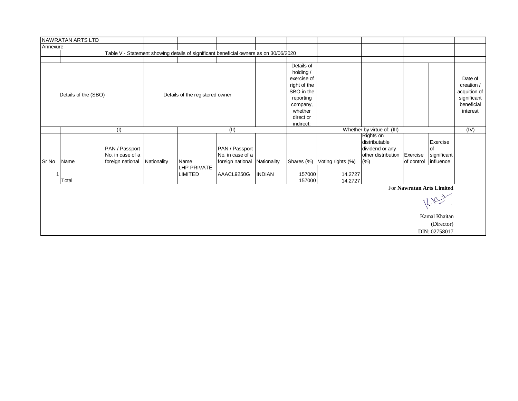|          | <b>NAWRATAN ARTS LTD</b> |                  |             |                                                                                       |                              |               |              |                   |                             |                           |                          |              |
|----------|--------------------------|------------------|-------------|---------------------------------------------------------------------------------------|------------------------------|---------------|--------------|-------------------|-----------------------------|---------------------------|--------------------------|--------------|
| Annexure |                          |                  |             |                                                                                       |                              |               |              |                   |                             |                           |                          |              |
|          |                          |                  |             | Table V - Statement showing details of significant beneficial owners as on 30/06/2020 |                              |               |              |                   |                             |                           |                          |              |
|          |                          |                  |             |                                                                                       |                              |               |              |                   |                             |                           |                          |              |
|          |                          |                  |             |                                                                                       |                              |               | Details of   |                   |                             |                           |                          |              |
|          |                          |                  |             |                                                                                       |                              |               | holding /    |                   |                             |                           |                          |              |
|          |                          |                  |             |                                                                                       |                              |               | exercise of  |                   |                             |                           |                          | Date of      |
|          |                          |                  |             |                                                                                       |                              |               | right of the |                   |                             |                           |                          | creation /   |
|          | Details of the (SBO)     |                  |             | Details of the registered owner                                                       |                              |               | SBO in the   |                   |                             |                           |                          | acquition of |
|          |                          |                  |             |                                                                                       |                              |               | reporting    |                   |                             |                           |                          | significant  |
|          |                          |                  |             |                                                                                       |                              |               | company,     |                   |                             |                           |                          | beneficial   |
|          |                          |                  |             |                                                                                       |                              |               | whether      |                   |                             |                           |                          | interest     |
|          |                          |                  |             |                                                                                       |                              |               | direct or    |                   |                             |                           |                          |              |
|          |                          |                  |             |                                                                                       |                              |               | indirect:    |                   |                             |                           |                          |              |
|          |                          | (1)              |             |                                                                                       | (II)                         |               |              |                   | Whether by virtue of: (III) |                           |                          | (IV)         |
|          |                          |                  |             |                                                                                       |                              |               |              |                   | Rights on<br>distributable  |                           | Exercise                 |              |
|          |                          |                  |             |                                                                                       |                              |               |              |                   |                             |                           |                          |              |
|          |                          | PAN / Passport   |             |                                                                                       | PAN / Passport               |               |              |                   | dividend or any             |                           | of                       |              |
| Sr No    | Name                     | No. in case of a | Nationality | Name                                                                                  | No. in case of a             |               |              |                   | other distribution          | Exercise<br>of control    | significant<br>influence |              |
|          |                          | foreign national |             | LHP PRIVATE                                                                           | foreign national Nationality |               | Shares (%)   | Voting rights (%) | (%)                         |                           |                          |              |
| 1        |                          |                  |             | <b>LIMITED</b>                                                                        | AAACL9250G                   | <b>INDIAN</b> | 157000       | 14.2727           |                             |                           |                          |              |
|          | Total                    |                  |             |                                                                                       |                              |               | 157000       | 14.2727           |                             |                           |                          |              |
|          |                          |                  |             |                                                                                       |                              |               |              |                   |                             | For Nawratan Arts Limited |                          |              |
|          |                          |                  |             |                                                                                       |                              |               |              |                   |                             |                           |                          |              |
|          |                          |                  |             |                                                                                       |                              |               |              |                   |                             |                           | $12.10 - 32.5$           |              |
|          |                          |                  |             |                                                                                       |                              |               |              |                   |                             |                           | Kamal Khaitan            |              |
|          |                          |                  |             |                                                                                       |                              |               |              |                   |                             |                           | (Director)               |              |
|          |                          |                  |             |                                                                                       |                              |               |              |                   |                             |                           | DIN: 02758017            |              |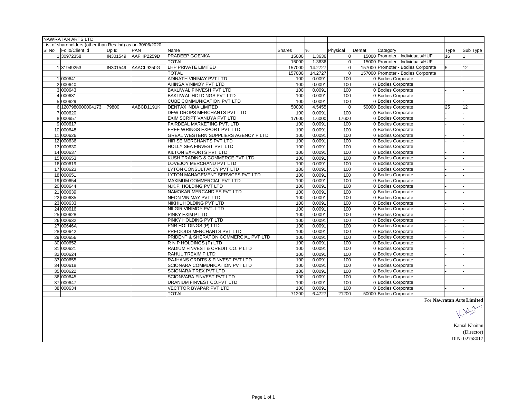|       | <b>NAWRATAN ARTS LTD</b>                                   |                 |            |                                       |        |         |          |       |                                    |      |                                  |
|-------|------------------------------------------------------------|-----------------|------------|---------------------------------------|--------|---------|----------|-------|------------------------------------|------|----------------------------------|
|       | List of shareholders (other than Res Ind) as on 30/06/2020 |                 |            |                                       |        |         |          |       |                                    |      |                                  |
| SI No | Folio/Client Id                                            | Dp Id           | <b>PAN</b> | Name                                  | Shares | %       | Physical | Demat | Category                           | Type | Sub Type                         |
|       | 130972358                                                  | <b>IN301549</b> | AAFHP2259D | <b>PRADEEP GOENKA</b>                 | 15000  | 1.3636  | $\Omega$ |       | 15000 Promoter - Individuals/HUF   | 16   |                                  |
|       |                                                            |                 |            | <b>TOTAL</b>                          | 15000  | 1.3636  | $\Omega$ |       | 15000 Promoter - Individuals/HUF   |      |                                  |
|       | 131949253                                                  | <b>IN301549</b> | AAACL9250G | <b>LHP PRIVATE LIMITED</b>            | 157000 | 14.2727 | 0l       |       | 157000 Promoter - Bodies Corporate | 15   | 12                               |
|       |                                                            |                 |            | <b>TOTAL</b>                          | 157000 | 14.2727 | $\Omega$ |       | 157000 Promoter - Bodies Corporate |      |                                  |
|       | 1 000641                                                   |                 |            | <b>ADINATH VINIMAY PVT LTD</b>        | 100    | 0.0091  | 100      |       | 0 Bodies Corporate                 |      |                                  |
|       | 2000640                                                    |                 |            | AHINSA VINIMOY PVT LTD                | 100    | 0.0091  | 100      |       | 0 Bodies Corporate                 |      |                                  |
|       | 3000643                                                    |                 |            | <b>BAKLIWAL FINVESH PVT LTD</b>       | 100    | 0.0091  | 100      |       | 0 Bodies Corporate                 |      |                                  |
|       | 4 000631                                                   |                 |            | <b>BAKLIWAL HOLDINGS PVT LTD</b>      | 100    | 0.0091  | 100      |       | 0 Bodies Corporate                 |      |                                  |
|       | 5 000629                                                   |                 |            | <b>CUBE COMMUNICATION PVT LTD</b>     | 100    | 0.0091  | 100      |       | 0 Bodies Corporate                 |      |                                  |
|       | 6 1207980000004173                                         | 79800           | AABCD1191K | <b>DENTAX INDIA LIMITED</b>           | 50000  | 4.5455  | $\Omega$ |       | 50000 Bodies Corporate             | 25   | 12                               |
|       | 7 000620                                                   |                 |            | DEW DROPS MERCHANTS PVT LTD           | 100    | 0.0091  | 100      |       | 0 Bodies Corporate                 |      |                                  |
|       | 8 000657                                                   |                 |            | EXIM SCRIPT VANIJYA PVT LTD           | 17600  | 1.6000  | 17600    |       | 0 Bodies Corporate                 |      |                                  |
|       | 9 000617                                                   |                 |            | FAIRDEAL MARKETING PVT. LTD           | 100    | 0.0091  | 100      |       | 0 Bodies Corporate                 |      |                                  |
|       | 10 000648                                                  |                 |            | FREE WRINGS EXPORT PVT LTD            | 100    | 0.0091  | 100      |       | 0 Bodies Corporate                 |      |                                  |
|       | 11 000626                                                  |                 |            | GREAL WESTERN SUPPLIERS AGENCY P LTD  | 100    | 0.0091  | 100      |       | 0 Bodies Corporate                 |      |                                  |
|       | 12 000636                                                  |                 |            | HIRISE MERCHANTS PVT LTD              | 100    | 0.0091  | 100      |       | 0 Bodies Corporate                 |      |                                  |
|       | 13 000630                                                  |                 |            | HOLLY SEA FINVEST PVT LTD             | 100    | 0.0091  | 100      |       | 0 Bodies Corporate                 |      |                                  |
|       | 14 000637                                                  |                 |            | KILTON EXPORTS PVT LTD                | 100    | 0.0091  | 100      |       | 0 Bodies Corporate                 |      |                                  |
|       | 15 000653                                                  |                 |            | KUSH TRADING & COMMERCE PVT LTD       | 100    | 0.0091  | 100      |       | 0 Bodies Corporate                 |      |                                  |
|       | 16 000619                                                  |                 |            | LOVEJOY MERCHAND PVT LTD              | 100    | 0.0091  | 100      |       | 0 Bodies Corporate                 |      |                                  |
|       | 17 000623                                                  |                 |            | LYTON CONSULTANCY PVT LTD             | 100    | 0.0091  | 100      |       | 0 Bodies Corporate                 |      |                                  |
|       | 18 000651                                                  |                 |            | LYTON MANAGEMENT SERVICES PVT LTD     | 100    | 0.0091  | 100      |       | 0 Bodies Corporate                 |      |                                  |
|       | 19 000654                                                  |                 |            | MAXIMUM COMMERCIAL PVT LTD            | 100    | 0.0091  | 100      |       | 0 Bodies Corporate                 |      |                                  |
|       | 20 000644                                                  |                 |            | N.K.P. HOLDING PVT LTD                | 100    | 0.0091  | 100      |       | 0 Bodies Corporate                 |      |                                  |
|       | 21 000639                                                  |                 |            | NAMOKAR MERCANDIES PVT LTD            | 100    | 0.0091  | 100      |       | 0 Bodies Corporate                 |      |                                  |
|       | 22 000635                                                  |                 |            | <b>NEON VINIMAY PVT LTD</b>           | 100    | 0.0091  | 100      |       | 0 Bodies Corporate                 |      |                                  |
|       | 23 000633                                                  |                 |            | NIKHIL HOLDING PVT LTD                | 100    | 0.0091  | 100      |       | 0 Bodies Corporate                 |      |                                  |
|       | 24 000616                                                  |                 |            | NILGIR VINIMOY PVT. LTD               | 100    | 0.0091  | 100      |       | 0 Bodies Corporate                 |      |                                  |
|       | 25 000628                                                  |                 |            | <b>PINKY EXIM P LTD</b>               | 100    | 0.0091  | 100      |       | 0 Bodies Corporate                 |      |                                  |
|       | 26 000632                                                  |                 |            | PINKY HOLDING PVT LTD                 | 100    | 0.0091  | 100      |       | 0 Bodies Corporate                 |      |                                  |
|       | 27 00646A                                                  |                 |            | PNR HOLDINGS (P) LTD                  | 100    | 0.0091  | 100      |       | 0 Bodies Corporate                 |      |                                  |
|       | 28 000642                                                  |                 |            | PRECIOUS MERCHANTS PVT LTD            | 100    | 0.0091  | 100      |       | 0 Bodies Corporate                 |      |                                  |
|       | 29 000656                                                  |                 |            | PRIDENT & SHERATON COMMERCIAL PVT LTD | 100    | 0.0091  | 100      |       | 0 Bodies Corporate                 |      |                                  |
|       | 30 000652                                                  |                 |            | R N P HOLDINGS (P) LTD                | 100    | 0.0091  | 100      |       | 0 Bodies Corporate                 |      |                                  |
|       | 31 000621                                                  |                 |            | RADIUM FINVEST & CREDIT CO. P LTD     | 100    | 0.0091  | 100      |       | 0 Bodies Corporate                 |      |                                  |
|       | 32 000624                                                  |                 |            | RAHUL TREXIM P LTD                    | 100    | 0.0091  | 100      |       | 0 Bodies Corporate                 |      |                                  |
|       | 33 000655                                                  |                 |            | RAJHANS CRDITS & FINVEST PVT LTD      | 100    | 0.0091  | 100      |       | 0 Bodies Corporate                 |      |                                  |
|       | 34 000618                                                  |                 |            | SCIONARA COMMUNICATION PVT LTD        | 100    | 0.0091  | 100      |       | 0 Bodies Corporate                 |      |                                  |
|       | 35 000622                                                  |                 |            | <b>SCIONARA TREX PVT LTD</b>          | 100    | 0.0091  | 100      |       | 0 Bodies Corporate                 |      |                                  |
|       | 36 000645                                                  |                 |            | SCIONVARA FINVEST PVT LTD             | 100    | 0.0091  | 100      |       | 0 Bodies Corporate                 |      |                                  |
|       | 37 000647                                                  |                 |            | URANIUM FINVEST CO.PVT LTD            | 100    | 0.0091  | 100      |       | 0 Bodies Corporate                 |      |                                  |
|       | 38 000634                                                  |                 |            | <b>VECTTOR BYAPAR PVT LTD</b>         | 100    | 0.0091  | 100      |       | 0 Bodies Corporate                 |      |                                  |
|       |                                                            |                 |            | <b>TOTAL</b>                          | 71200  | 6.4727  | 21200    |       | 50000 Bodies Corporate             |      |                                  |
|       |                                                            |                 |            |                                       |        |         |          |       |                                    |      | <b>For Nawraton Arte Limited</b> |

For **Nawratan Arts Limited**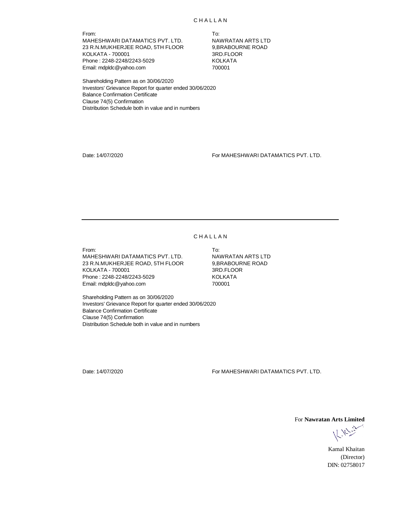From: To: MAHESHWARI DATAMATICS PVT. LTD. NAWRATAN ARTS LTD 23 R.N.MUKHERJEE ROAD, 5TH FLOOR 9,BRABOURNE ROAD<br>KOLKATA - 700001 KOLKATA - 700001 3RD.FLOOR Phone: 2248-2248/2243-5029 Email: mdpldc@yahoo.com 700001

Shareholding Pattern as on 30/06/2020 Investors' Grievance Report for quarter ended 30/06/2020 Balance Confirmation Certificate Clause 74(5) Confirmation Distribution Schedule both in value and in numbers

Date: 14/07/2020 For MAHESHWARI DATAMATICS PVT. LTD.

## **CHALLAN**

From: To: MAHESHWARI DATAMATICS PVT. LTD. NAWRATAN ARTS LTD 23 R.N.MUKHERJEE ROAD, 5TH FLOOR 9,BRABOUR<br>KOLKATA - 700001 8RD.FLOOR KOLKATA - 700001 3RD.FLOOR Phone: 2248-2248/2243-5029 Email: mdpldc@yahoo.com 700001

Shareholding Pattern as on 30/06/2020 Investors' Grievance Report for quarter ended 30/06/2020 Balance Confirmation Certificate Clause 74(5) Confirmation Distribution Schedule both in value and in numbers

Date: 14/07/2020 For MAHESHWARI DATAMATICS PVT. LTD.

For **Nawratan Arts Limited**

K. N. Chin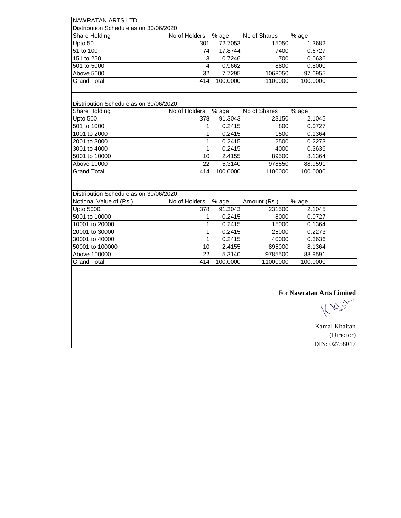| NAWRATAN ARTS LTD<br>Distribution Schedule as on 30/06/2020<br>No of Holders<br>$\overline{\%}$ age<br>No of Shares<br>$\overline{\%}$ age<br>Share Holding<br>Upto 50<br>72.7053<br>1.3682<br>301<br>15050<br>17.8744<br>51 to 100<br>74<br>7400<br>0.6727<br>151 to 250<br>$\overline{3}$<br>0.7246<br>700<br>0.0636<br>501 to 5000<br>$\overline{4}$<br>0.9662<br>8800<br>0.8000<br>7.7295<br>Above 5000<br>32<br>1068050<br>97.0955<br><b>Grand Total</b><br>100.0000<br>1100000<br>414<br>100.0000<br>Distribution Schedule as on 30/06/2020<br>No of Holders<br>% age<br>Share Holding<br>No of Shares<br>% age<br>Upto 500<br>378<br>91.3043<br>23150<br>2.1045<br>501 to 1000<br>0.2415<br>800<br>0.0727<br>1<br>1001 to 2000<br>0.2415<br>1500<br>0.1364<br>1<br>2001 to 3000<br>0.2415<br>2500<br>0.2273<br>1<br>1<br>4000<br>3001 to 4000<br>0.2415<br>0.3636<br>5001 to 10000<br>8.1364<br>10<br>2.4155<br>89500<br>22<br>Above 10000<br>5.3140<br>978550<br>88.9591<br><b>Grand Total</b><br>414<br>100.0000<br>1100000<br>100.0000<br>Distribution Schedule as on 30/06/2020<br>Notional Value of (Rs.)<br>No of Holders<br>% age<br>Amount (Rs.)<br>$\overline{\%}$ age<br><b>Upto 5000</b><br>231500<br>378<br>91.3043<br>2.1045<br>5001 to 10000<br>0.2415<br>8000<br>0.0727<br>1<br>10001 to 20000<br>1<br>0.2415<br>15000<br>0.1364<br>20001 to 30000<br>1<br>0.2415<br>25000<br>0.2273<br>30001 to 40000<br>1<br>0.2415<br>40000<br>0.3636<br>50001 to 100000<br>10<br>2.4155<br>895000<br>8.1364<br>$\overline{22}$<br>Above 100000<br>5.3140<br>9785500<br>88.9591<br><b>Grand Total</b><br>100.0000<br>11000000<br>414<br>100.0000 |  |  |                           |  |
|-----------------------------------------------------------------------------------------------------------------------------------------------------------------------------------------------------------------------------------------------------------------------------------------------------------------------------------------------------------------------------------------------------------------------------------------------------------------------------------------------------------------------------------------------------------------------------------------------------------------------------------------------------------------------------------------------------------------------------------------------------------------------------------------------------------------------------------------------------------------------------------------------------------------------------------------------------------------------------------------------------------------------------------------------------------------------------------------------------------------------------------------------------------------------------------------------------------------------------------------------------------------------------------------------------------------------------------------------------------------------------------------------------------------------------------------------------------------------------------------------------------------------------------------------------------------------------------------------------------------------------------------------------------|--|--|---------------------------|--|
|                                                                                                                                                                                                                                                                                                                                                                                                                                                                                                                                                                                                                                                                                                                                                                                                                                                                                                                                                                                                                                                                                                                                                                                                                                                                                                                                                                                                                                                                                                                                                                                                                                                           |  |  |                           |  |
|                                                                                                                                                                                                                                                                                                                                                                                                                                                                                                                                                                                                                                                                                                                                                                                                                                                                                                                                                                                                                                                                                                                                                                                                                                                                                                                                                                                                                                                                                                                                                                                                                                                           |  |  |                           |  |
|                                                                                                                                                                                                                                                                                                                                                                                                                                                                                                                                                                                                                                                                                                                                                                                                                                                                                                                                                                                                                                                                                                                                                                                                                                                                                                                                                                                                                                                                                                                                                                                                                                                           |  |  |                           |  |
|                                                                                                                                                                                                                                                                                                                                                                                                                                                                                                                                                                                                                                                                                                                                                                                                                                                                                                                                                                                                                                                                                                                                                                                                                                                                                                                                                                                                                                                                                                                                                                                                                                                           |  |  |                           |  |
|                                                                                                                                                                                                                                                                                                                                                                                                                                                                                                                                                                                                                                                                                                                                                                                                                                                                                                                                                                                                                                                                                                                                                                                                                                                                                                                                                                                                                                                                                                                                                                                                                                                           |  |  |                           |  |
|                                                                                                                                                                                                                                                                                                                                                                                                                                                                                                                                                                                                                                                                                                                                                                                                                                                                                                                                                                                                                                                                                                                                                                                                                                                                                                                                                                                                                                                                                                                                                                                                                                                           |  |  |                           |  |
|                                                                                                                                                                                                                                                                                                                                                                                                                                                                                                                                                                                                                                                                                                                                                                                                                                                                                                                                                                                                                                                                                                                                                                                                                                                                                                                                                                                                                                                                                                                                                                                                                                                           |  |  |                           |  |
|                                                                                                                                                                                                                                                                                                                                                                                                                                                                                                                                                                                                                                                                                                                                                                                                                                                                                                                                                                                                                                                                                                                                                                                                                                                                                                                                                                                                                                                                                                                                                                                                                                                           |  |  |                           |  |
|                                                                                                                                                                                                                                                                                                                                                                                                                                                                                                                                                                                                                                                                                                                                                                                                                                                                                                                                                                                                                                                                                                                                                                                                                                                                                                                                                                                                                                                                                                                                                                                                                                                           |  |  |                           |  |
|                                                                                                                                                                                                                                                                                                                                                                                                                                                                                                                                                                                                                                                                                                                                                                                                                                                                                                                                                                                                                                                                                                                                                                                                                                                                                                                                                                                                                                                                                                                                                                                                                                                           |  |  |                           |  |
|                                                                                                                                                                                                                                                                                                                                                                                                                                                                                                                                                                                                                                                                                                                                                                                                                                                                                                                                                                                                                                                                                                                                                                                                                                                                                                                                                                                                                                                                                                                                                                                                                                                           |  |  |                           |  |
|                                                                                                                                                                                                                                                                                                                                                                                                                                                                                                                                                                                                                                                                                                                                                                                                                                                                                                                                                                                                                                                                                                                                                                                                                                                                                                                                                                                                                                                                                                                                                                                                                                                           |  |  |                           |  |
|                                                                                                                                                                                                                                                                                                                                                                                                                                                                                                                                                                                                                                                                                                                                                                                                                                                                                                                                                                                                                                                                                                                                                                                                                                                                                                                                                                                                                                                                                                                                                                                                                                                           |  |  |                           |  |
|                                                                                                                                                                                                                                                                                                                                                                                                                                                                                                                                                                                                                                                                                                                                                                                                                                                                                                                                                                                                                                                                                                                                                                                                                                                                                                                                                                                                                                                                                                                                                                                                                                                           |  |  |                           |  |
|                                                                                                                                                                                                                                                                                                                                                                                                                                                                                                                                                                                                                                                                                                                                                                                                                                                                                                                                                                                                                                                                                                                                                                                                                                                                                                                                                                                                                                                                                                                                                                                                                                                           |  |  |                           |  |
|                                                                                                                                                                                                                                                                                                                                                                                                                                                                                                                                                                                                                                                                                                                                                                                                                                                                                                                                                                                                                                                                                                                                                                                                                                                                                                                                                                                                                                                                                                                                                                                                                                                           |  |  |                           |  |
|                                                                                                                                                                                                                                                                                                                                                                                                                                                                                                                                                                                                                                                                                                                                                                                                                                                                                                                                                                                                                                                                                                                                                                                                                                                                                                                                                                                                                                                                                                                                                                                                                                                           |  |  |                           |  |
|                                                                                                                                                                                                                                                                                                                                                                                                                                                                                                                                                                                                                                                                                                                                                                                                                                                                                                                                                                                                                                                                                                                                                                                                                                                                                                                                                                                                                                                                                                                                                                                                                                                           |  |  |                           |  |
|                                                                                                                                                                                                                                                                                                                                                                                                                                                                                                                                                                                                                                                                                                                                                                                                                                                                                                                                                                                                                                                                                                                                                                                                                                                                                                                                                                                                                                                                                                                                                                                                                                                           |  |  |                           |  |
|                                                                                                                                                                                                                                                                                                                                                                                                                                                                                                                                                                                                                                                                                                                                                                                                                                                                                                                                                                                                                                                                                                                                                                                                                                                                                                                                                                                                                                                                                                                                                                                                                                                           |  |  |                           |  |
|                                                                                                                                                                                                                                                                                                                                                                                                                                                                                                                                                                                                                                                                                                                                                                                                                                                                                                                                                                                                                                                                                                                                                                                                                                                                                                                                                                                                                                                                                                                                                                                                                                                           |  |  |                           |  |
|                                                                                                                                                                                                                                                                                                                                                                                                                                                                                                                                                                                                                                                                                                                                                                                                                                                                                                                                                                                                                                                                                                                                                                                                                                                                                                                                                                                                                                                                                                                                                                                                                                                           |  |  |                           |  |
|                                                                                                                                                                                                                                                                                                                                                                                                                                                                                                                                                                                                                                                                                                                                                                                                                                                                                                                                                                                                                                                                                                                                                                                                                                                                                                                                                                                                                                                                                                                                                                                                                                                           |  |  |                           |  |
|                                                                                                                                                                                                                                                                                                                                                                                                                                                                                                                                                                                                                                                                                                                                                                                                                                                                                                                                                                                                                                                                                                                                                                                                                                                                                                                                                                                                                                                                                                                                                                                                                                                           |  |  |                           |  |
|                                                                                                                                                                                                                                                                                                                                                                                                                                                                                                                                                                                                                                                                                                                                                                                                                                                                                                                                                                                                                                                                                                                                                                                                                                                                                                                                                                                                                                                                                                                                                                                                                                                           |  |  |                           |  |
|                                                                                                                                                                                                                                                                                                                                                                                                                                                                                                                                                                                                                                                                                                                                                                                                                                                                                                                                                                                                                                                                                                                                                                                                                                                                                                                                                                                                                                                                                                                                                                                                                                                           |  |  |                           |  |
|                                                                                                                                                                                                                                                                                                                                                                                                                                                                                                                                                                                                                                                                                                                                                                                                                                                                                                                                                                                                                                                                                                                                                                                                                                                                                                                                                                                                                                                                                                                                                                                                                                                           |  |  |                           |  |
|                                                                                                                                                                                                                                                                                                                                                                                                                                                                                                                                                                                                                                                                                                                                                                                                                                                                                                                                                                                                                                                                                                                                                                                                                                                                                                                                                                                                                                                                                                                                                                                                                                                           |  |  |                           |  |
|                                                                                                                                                                                                                                                                                                                                                                                                                                                                                                                                                                                                                                                                                                                                                                                                                                                                                                                                                                                                                                                                                                                                                                                                                                                                                                                                                                                                                                                                                                                                                                                                                                                           |  |  |                           |  |
|                                                                                                                                                                                                                                                                                                                                                                                                                                                                                                                                                                                                                                                                                                                                                                                                                                                                                                                                                                                                                                                                                                                                                                                                                                                                                                                                                                                                                                                                                                                                                                                                                                                           |  |  |                           |  |
|                                                                                                                                                                                                                                                                                                                                                                                                                                                                                                                                                                                                                                                                                                                                                                                                                                                                                                                                                                                                                                                                                                                                                                                                                                                                                                                                                                                                                                                                                                                                                                                                                                                           |  |  |                           |  |
|                                                                                                                                                                                                                                                                                                                                                                                                                                                                                                                                                                                                                                                                                                                                                                                                                                                                                                                                                                                                                                                                                                                                                                                                                                                                                                                                                                                                                                                                                                                                                                                                                                                           |  |  |                           |  |
|                                                                                                                                                                                                                                                                                                                                                                                                                                                                                                                                                                                                                                                                                                                                                                                                                                                                                                                                                                                                                                                                                                                                                                                                                                                                                                                                                                                                                                                                                                                                                                                                                                                           |  |  |                           |  |
|                                                                                                                                                                                                                                                                                                                                                                                                                                                                                                                                                                                                                                                                                                                                                                                                                                                                                                                                                                                                                                                                                                                                                                                                                                                                                                                                                                                                                                                                                                                                                                                                                                                           |  |  |                           |  |
|                                                                                                                                                                                                                                                                                                                                                                                                                                                                                                                                                                                                                                                                                                                                                                                                                                                                                                                                                                                                                                                                                                                                                                                                                                                                                                                                                                                                                                                                                                                                                                                                                                                           |  |  |                           |  |
|                                                                                                                                                                                                                                                                                                                                                                                                                                                                                                                                                                                                                                                                                                                                                                                                                                                                                                                                                                                                                                                                                                                                                                                                                                                                                                                                                                                                                                                                                                                                                                                                                                                           |  |  |                           |  |
|                                                                                                                                                                                                                                                                                                                                                                                                                                                                                                                                                                                                                                                                                                                                                                                                                                                                                                                                                                                                                                                                                                                                                                                                                                                                                                                                                                                                                                                                                                                                                                                                                                                           |  |  | For Nawratan Arts Limited |  |